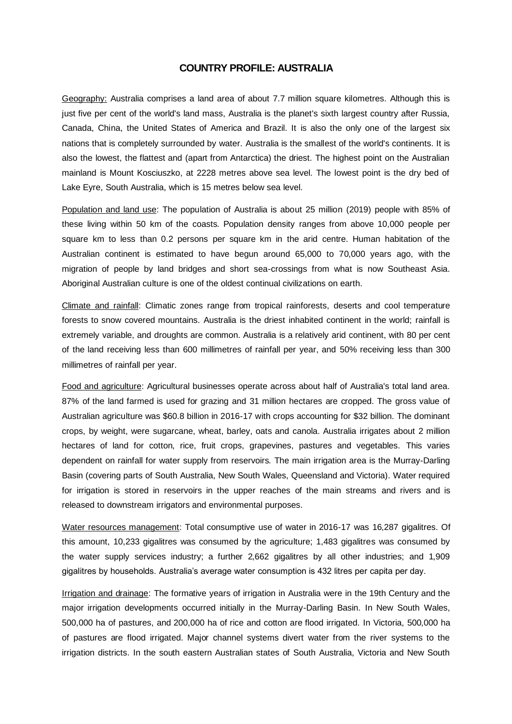## **COUNTRY PROFILE: AUSTRALIA**

Geography: Australia comprises a land area of about 7.7 million square kilometres. Although this is just five per cent of the world's land mass, Australia is the planet's sixth largest country after Russia, Canada, China, the United States of America and Brazil. It is also the only one of the largest six nations that is completely surrounded by water. Australia is the smallest of the world's continents. It is also the lowest, the flattest and (apart from Antarctica) the driest. The highest point on the Australian mainland is Mount Kosciuszko, at 2228 metres above sea level. The lowest point is the dry bed of Lake Eyre, South Australia, which is 15 metres below sea level.

Population and land use: The population of Australia is about 25 million (2019) people with 85% of these living within 50 km of the coasts. Population density ranges from above 10,000 people per square km to less than 0.2 persons per square km in the arid centre. Human habitation of the Australian continent is estimated to have begun around 65,000 to 70,000 years ago, with the migration of people by land bridges and short sea-crossings from what is now Southeast Asia. Aboriginal Australian culture is one of the oldest continual civilizations on earth.

Climate and rainfall: Climatic zones range from tropical rainforests, deserts and cool temperature forests to snow covered mountains. Australia is the driest inhabited continent in the world; rainfall is extremely variable, and droughts are common. Australia is a relatively arid continent, with 80 per cent of the land receiving less than 600 millimetres of rainfall per year, and 50% receiving less than 300 millimetres of rainfall per year.

Food and agriculture: Agricultural businesses operate across about half of Australia's total land area. 87% of the land farmed is used for grazing and 31 million hectares are cropped. The gross value of Australian agriculture was \$60.8 billion in 2016-17 with crops accounting for \$32 billion. The dominant crops, by weight, were sugarcane, wheat, barley, oats and canola. Australia irrigates about 2 million hectares of land for cotton, rice, fruit crops, grapevines, pastures and vegetables. This varies dependent on rainfall for water supply from reservoirs. The main irrigation area is the Murray-Darling Basin (covering parts of South Australia, New South Wales, Queensland and Victoria). Water required for irrigation is stored in reservoirs in the upper reaches of the main streams and rivers and is released to downstream irrigators and environmental purposes.

Water resources management: Total consumptive use of water in 2016-17 was 16,287 gigalitres. Of this amount, 10,233 gigalitres was consumed by the agriculture; 1,483 gigalitres was consumed by the water supply services industry; a further 2,662 gigalitres by all other industries; and 1,909 gigalitres by households. Australia's average water consumption is 432 litres per capita per day.

Irrigation and drainage: The formative years of irrigation in Australia were in the 19th Century and the major irrigation developments occurred initially in the Murray-Darling Basin. In New South Wales, 500,000 ha of pastures, and 200,000 ha of rice and cotton are flood irrigated. In Victoria, 500,000 ha of pastures are flood irrigated. Major channel systems divert water from the river systems to the irrigation districts. In the south eastern Australian states of South Australia, Victoria and New South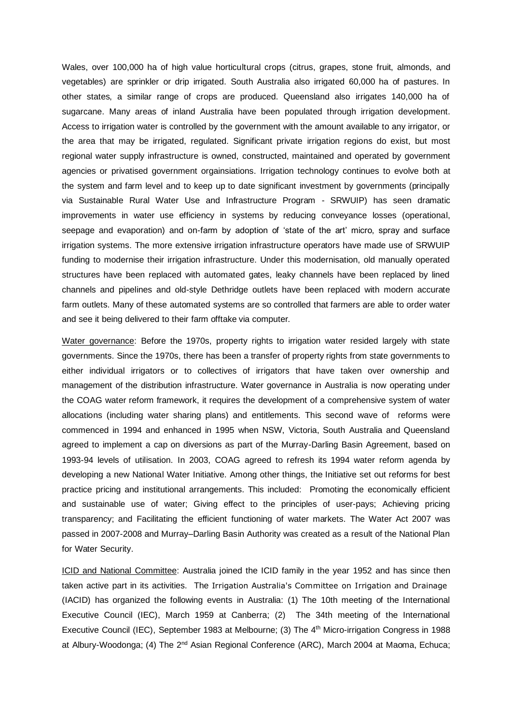Wales, over 100,000 ha of high value horticultural crops (citrus, grapes, stone fruit, almonds, and vegetables) are sprinkler or drip irrigated. South Australia also irrigated 60,000 ha of pastures. In other states, a similar range of crops are produced. Queensland also irrigates 140,000 ha of sugarcane. Many areas of inland Australia have been populated through irrigation development. Access to irrigation water is controlled by the government with the amount available to any irrigator, or the area that may be irrigated, regulated. Significant private irrigation regions do exist, but most regional water supply infrastructure is owned, constructed, maintained and operated by government agencies or privatised government orgainsiations. Irrigation technology continues to evolve both at the system and farm level and to keep up to date significant investment by governments (principally via Sustainable Rural Water Use and Infrastructure Program - SRWUIP) has seen dramatic improvements in water use efficiency in systems by reducing conveyance losses (operational, seepage and evaporation) and on-farm by adoption of 'state of the art' micro, spray and surface irrigation systems. The more extensive irrigation infrastructure operators have made use of SRWUIP funding to modernise their irrigation infrastructure. Under this modernisation, old manually operated structures have been replaced with automated gates, leaky channels have been replaced by lined channels and pipelines and old-style Dethridge outlets have been replaced with modern accurate farm outlets. Many of these automated systems are so controlled that farmers are able to order water and see it being delivered to their farm offtake via computer.

Water governance: Before the 1970s, property rights to irrigation water resided largely with state governments. Since the 1970s, there has been a transfer of property rights from state governments to either individual irrigators or to collectives of irrigators that have taken over ownership and management of the distribution infrastructure. Water governance in Australia is now operating under the COAG water reform framework, it requires the development of a comprehensive system of water allocations (including water sharing plans) and entitlements. This second wave of reforms were commenced in 1994 and enhanced in 1995 when NSW, Victoria, South Australia and Queensland agreed to implement a cap on diversions as part of the Murray-Darling Basin Agreement, based on 1993-94 levels of utilisation. In 2003, COAG agreed to refresh its 1994 water reform agenda by developing a new National Water Initiative. Among other things, the Initiative set out reforms for best practice pricing and institutional arrangements. This included: Promoting the economically efficient and sustainable use of water; Giving effect to the principles of user-pays; Achieving pricing transparency; and Facilitating the efficient functioning of water markets. The Water Act 2007 was passed in 2007-2008 and Murray–Darling Basin Authority was created as a result of the National Plan for Water Security.

ICID and National Committee: Australia joined the ICID family in the year 1952 and has since then taken active part in its activities. The Irrigation Australia's Committee on Irrigation and Drainage (IACID) has organized the following events in Australia: (1) The 10th meeting of the International Executive Council (IEC), March 1959 at Canberra; (2) The 34th meeting of the International Executive Council (IEC), September 1983 at Melbourne; (3) The 4<sup>th</sup> Micro-irrigation Congress in 1988 at Albury-Woodonga; (4) The  $2^{nd}$  Asian Regional Conference (ARC), March 2004 at Maoma, Echuca;